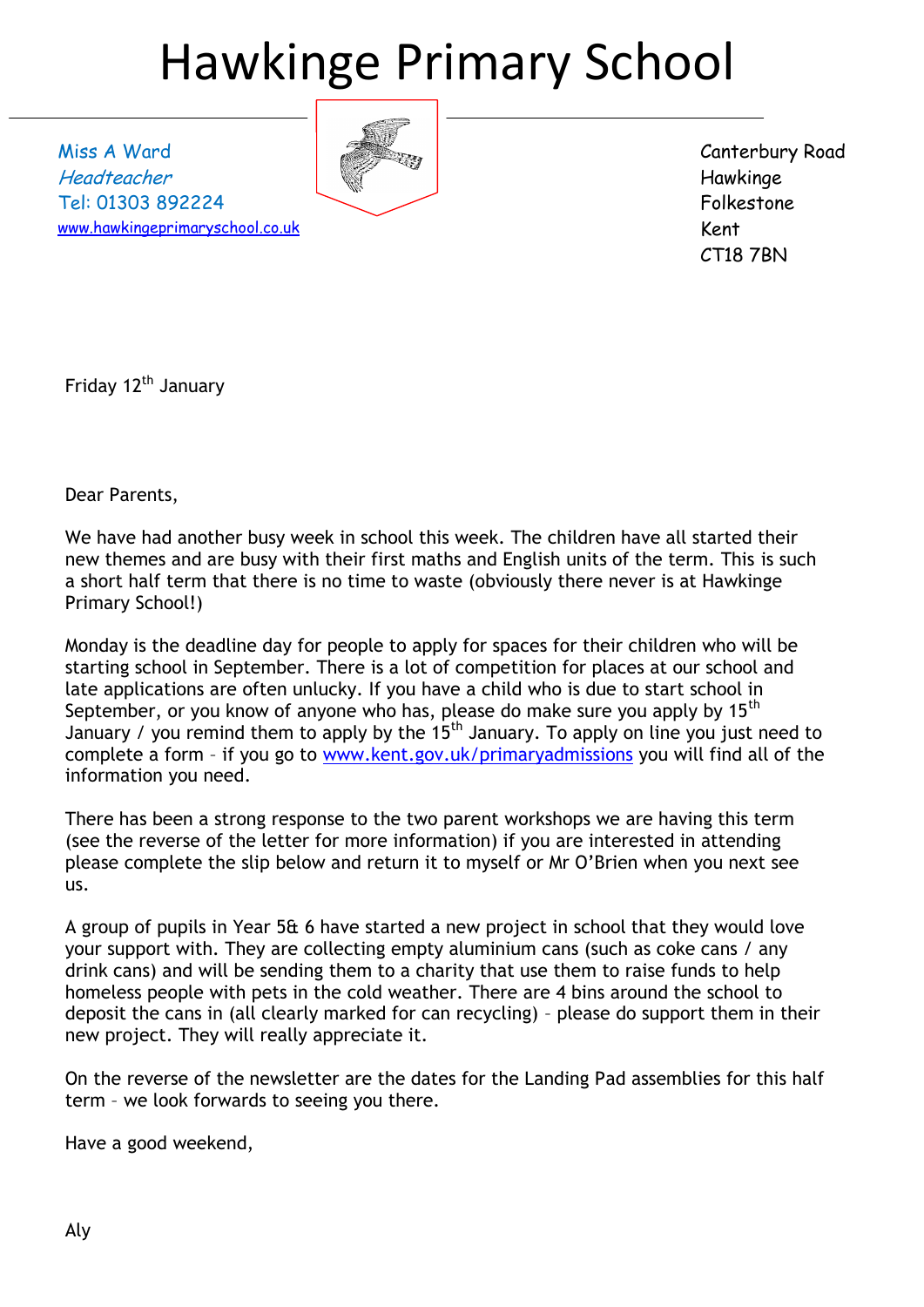# Hawkinge Primary School

Miss A Ward Headteacher Tel: 01303 892224 [www.hawkingeprimaryschool.co.uk](http://www.hawkingeprimaryschool.co.uk/)



Canterbury Road Hawkinge Folkestone Kent CT18 7BN

Friday 12<sup>th</sup> January

Dear Parents,

We have had another busy week in school this week. The children have all started their new themes and are busy with their first maths and English units of the term. This is such a short half term that there is no time to waste (obviously there never is at Hawkinge Primary School!)

Monday is the deadline day for people to apply for spaces for their children who will be starting school in September. There is a lot of competition for places at our school and late applications are often unlucky. If you have a child who is due to start school in September, or you know of anyone who has, please do make sure you apply by  $15<sup>th</sup>$ January / you remind them to apply by the  $15<sup>th</sup>$  January. To apply on line you just need to complete a form – if you go to [www.kent.gov.uk/primaryadmissions](http://www.kent.gov.uk/primaryadmissions) you will find all of the information you need.

There has been a strong response to the two parent workshops we are having this term (see the reverse of the letter for more information) if you are interested in attending please complete the slip below and return it to myself or Mr O'Brien when you next see us.

A group of pupils in Year 5& 6 have started a new project in school that they would love your support with. They are collecting empty aluminium cans (such as coke cans / any drink cans) and will be sending them to a charity that use them to raise funds to help homeless people with pets in the cold weather. There are 4 bins around the school to deposit the cans in (all clearly marked for can recycling) – please do support them in their new project. They will really appreciate it.

On the reverse of the newsletter are the dates for the Landing Pad assemblies for this half term – we look forwards to seeing you there.

Have a good weekend,